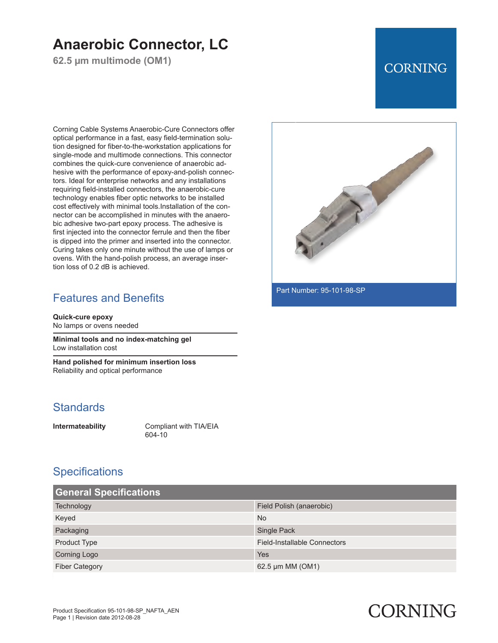## **Anaerobic Connector, LC**

**62.5 µm multimode (OM1)**

### **CORNING**

Corning Cable Systems Anaerobic-Cure Connectors offer optical performance in a fast, easy field-termination solution designed for fiber-to-the-workstation applications for single-mode and multimode connections. This connector combines the quick-cure convenience of anaerobic adhesive with the performance of epoxy-and-polish connectors. Ideal for enterprise networks and any installations requiring field-installed connectors, the anaerobic-cure technology enables fiber optic networks to be installed cost effectively with minimal tools.Installation of the connector can be accomplished in minutes with the anaerobic adhesive two-part epoxy process. The adhesive is first injected into the connector ferrule and then the fiber is dipped into the primer and inserted into the connector. Curing takes only one minute without the use of lamps or ovens. With the hand-polish process, an average insertion loss of 0.2 dB is achieved.

#### Features and Benefits

**Quick-cure epoxy** No lamps or ovens needed

**Minimal tools and no index-matching gel** Low installation cost

**Hand polished for minimum insertion loss** Reliability and optical performance

#### **Standards**

**Intermateability** Compliant with TIA/EIA 604-10

#### **Specifications**

| <b>General Specifications</b> |                                     |  |
|-------------------------------|-------------------------------------|--|
| Technology                    | Field Polish (anaerobic)            |  |
| Keyed                         | <b>No</b>                           |  |
| Packaging                     | Single Pack                         |  |
| Product Type                  | <b>Field-Installable Connectors</b> |  |
| <b>Corning Logo</b>           | Yes                                 |  |
| <b>Fiber Category</b>         | 62.5 µm MM (OM1)                    |  |



Part Number: 95-101-98-SP

# CORNING